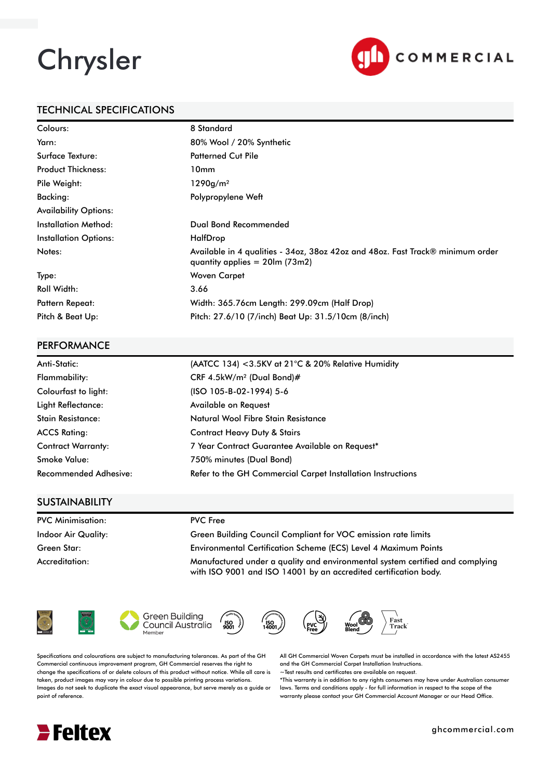# Chrysler



## TECHNICAL SPECIFICATIONS

| Colours:                     | 8 Standard                                                                                                          |
|------------------------------|---------------------------------------------------------------------------------------------------------------------|
| Yarn:                        | 80% Wool / 20% Synthetic                                                                                            |
| Surface Texture:             | <b>Patterned Cut Pile</b>                                                                                           |
| <b>Product Thickness:</b>    | 10 <sub>mm</sub>                                                                                                    |
| Pile Weight:                 | 1290g/m <sup>2</sup>                                                                                                |
| Backing:                     | Polypropylene Weft                                                                                                  |
| <b>Availability Options:</b> |                                                                                                                     |
| Installation Method:         | Dual Bond Recommended                                                                                               |
| <b>Installation Options:</b> | HalfDrop                                                                                                            |
| Notes:                       | Available in 4 qualities - 34oz, 38oz 42oz and 48oz. Fast Track® minimum order<br>quantity applies $= 20$ lm (73m2) |
| Type:                        | Woven Carpet                                                                                                        |
| <b>Roll Width:</b>           | 3.66                                                                                                                |
| <b>Pattern Repeat:</b>       | Width: 365.76cm Length: 299.09cm (Half Drop)                                                                        |
| Pitch & Beat Up:             | Pitch: 27.6/10 (7/inch) Beat Up: 31.5/10cm (8/inch)                                                                 |

#### **PERFORMANCE**

| Anti-Static:                 | (AATCC 134) <3.5KV at 21°C & 20% Relative Humidity          |
|------------------------------|-------------------------------------------------------------|
| Flammability:                | CRF 4.5kW/m <sup>2</sup> (Dual Bond)#                       |
| Colourfast to light:         | (ISO 105-B-02-1994) 5-6                                     |
| Light Reflectance:           | Available on Request                                        |
| <b>Stain Resistance:</b>     | Natural Wool Fibre Stain Resistance                         |
| <b>ACCS Rating:</b>          | <b>Contract Heavy Duty &amp; Stairs</b>                     |
| <b>Contract Warranty:</b>    | 7 Year Contract Guarantee Available on Request*             |
| <b>Smoke Value:</b>          | 750% minutes (Dual Bond)                                    |
| <b>Recommended Adhesive:</b> | Refer to the GH Commercial Carpet Installation Instructions |

### **SUSTAINABILITY**

| <b>PVC Minimisation:</b> | <b>PVC</b> Free                                                                                                                                   |
|--------------------------|---------------------------------------------------------------------------------------------------------------------------------------------------|
| Indoor Air Quality:      | Green Building Council Compliant for VOC emission rate limits                                                                                     |
| Green Star:              | Environmental Certification Scheme (ECS) Level 4 Maximum Points                                                                                   |
| Accreditation:           | Manufactured under a quality and environmental system certified and complying<br>with ISO 9001 and ISO 14001 by an accredited certification body. |









ĬSO.<br>IANO



Specifications and colourations are subject to manufacturing tolerances. As part of the GH Commercial continuous improvement program, GH Commercial reserves the right to change the specifications of or delete colours of this product without notice. While all care is taken, product images may vary in colour due to possible printing process variations. Images do not seek to duplicate the exact visual appearance, but serve merely as a guide or point of reference.

All GH Commercial Woven Carpets must be installed in accordance with the latest AS2455 and the GH Commercial Carpet Installation Instructions.

~Test results and certificates are available on request.

\*This warranty is in addition to any rights consumers may have under Australian consumer laws. Terms and conditions apply - for full information in respect to the scope of the warranty please contact your GH Commercial Account Manager or our Head Office.